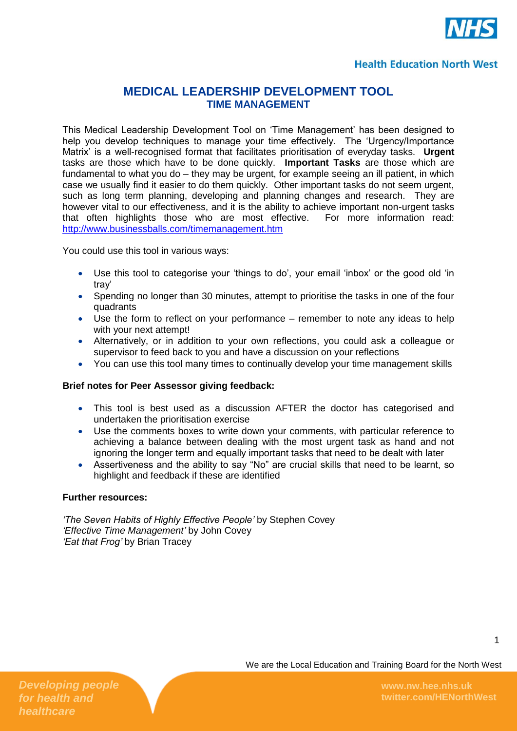

## **Health Education North West**

# **MEDICAL LEADERSHIP DEVELOPMENT TOOL TIME MANAGEMENT**

This Medical Leadership Development Tool on 'Time Management' has been designed to help you develop techniques to manage your time effectively. The 'Urgency/Importance Matrix' is a well-recognised format that facilitates prioritisation of everyday tasks. **Urgent** tasks are those which have to be done quickly. **Important Tasks** are those which are fundamental to what you do – they may be urgent, for example seeing an ill patient, in which case we usually find it easier to do them quickly. Other important tasks do not seem urgent, such as long term planning, developing and planning changes and research. They are however vital to our effectiveness, and it is the ability to achieve important non-urgent tasks that often highlights those who are most effective. For more information read: <http://www.businessballs.com/timemanagement.htm>

You could use this tool in various ways:

- Use this tool to categorise your 'things to do', your email 'inbox' or the good old 'in tray'
- Spending no longer than 30 minutes, attempt to prioritise the tasks in one of the four quadrants
- Use the form to reflect on your performance remember to note any ideas to help with your next attempt!
- Alternatively, or in addition to your own reflections, you could ask a colleague or supervisor to feed back to you and have a discussion on your reflections
- You can use this tool many times to continually develop your time management skills

## **Brief notes for Peer Assessor giving feedback:**

- This tool is best used as a discussion AFTER the doctor has categorised and undertaken the prioritisation exercise
- Use the comments boxes to write down your comments, with particular reference to achieving a balance between dealing with the most urgent task as hand and not ignoring the longer term and equally important tasks that need to be dealt with later
- Assertiveness and the ability to say "No" are crucial skills that need to be learnt, so highlight and feedback if these are identified

#### **Further resources:**

*'The Seven Habits of Highly Effective People'* by Stephen Covey *'Effective Time Management'* by John Covey *'Eat that Frog'* by Brian Tracey

1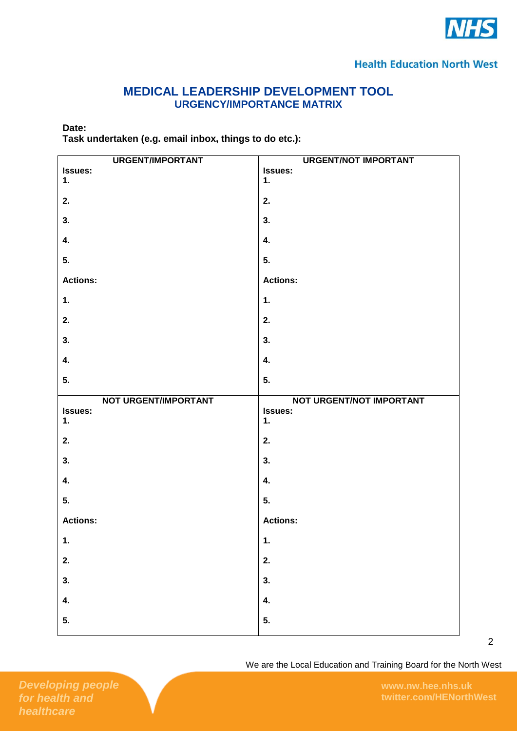

# **MEDICAL LEADERSHIP DEVELOPMENT TOOL URGENCY/IMPORTANCE MATRIX**

### **Date:**

**Task undertaken (e.g. email inbox, things to do etc.):**

| <b>URGENT/IMPORTANT</b> | <b>URGENT/NOT IMPORTANT</b> |
|-------------------------|-----------------------------|
| Issues:                 | Issues:                     |
| 1.                      | 1.                          |
| 2.                      | 2.                          |
| 3.                      | 3.                          |
| 4.                      | 4.                          |
| 5.                      | 5.                          |
| <b>Actions:</b>         | <b>Actions:</b>             |
| 1.                      | $\mathbf 1$ .               |
| 2.                      | 2.                          |
| 3.                      | 3.                          |
| 4.                      | 4.                          |
| 5.                      | 5.                          |
|                         |                             |
| NOT URGENT/IMPORTANT    | NOT URGENT/NOT IMPORTANT    |
| Issues:                 | Issues:                     |
| 1.                      | 1.                          |
| 2.                      | 2.                          |
| 3.                      | 3.                          |
| 4.                      | 4.                          |
| 5.                      | 5.                          |
| <b>Actions:</b>         | <b>Actions:</b>             |
| 1.                      | 1.                          |
| 2.                      | 2.                          |
| 3.                      | 3.                          |
| 4.                      | 4.                          |
| 5.                      | 5.                          |

We are the Local Education and Training Board for the North West

2